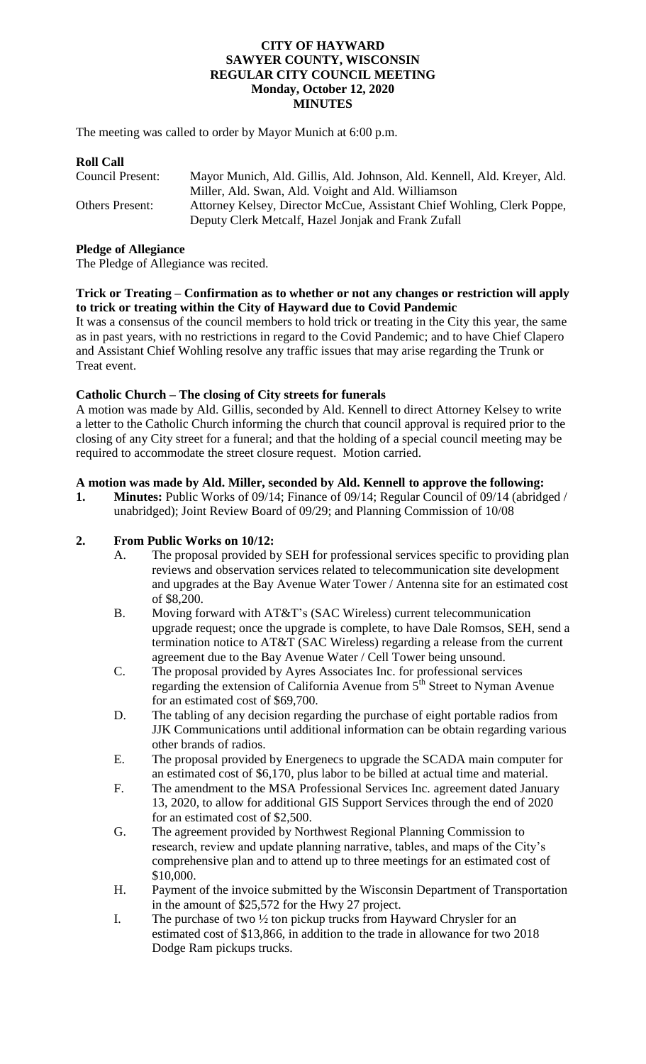## **CITY OF HAYWARD SAWYER COUNTY, WISCONSIN REGULAR CITY COUNCIL MEETING Monday, October 12, 2020 MINUTES**

The meeting was called to order by Mayor Munich at 6:00 p.m.

## **Roll Call**

| Council Present:       | Mayor Munich, Ald. Gillis, Ald. Johnson, Ald. Kennell, Ald. Kreyer, Ald. |
|------------------------|--------------------------------------------------------------------------|
|                        | Miller, Ald. Swan, Ald. Voight and Ald. Williamson                       |
| <b>Others Present:</b> | Attorney Kelsey, Director McCue, Assistant Chief Wohling, Clerk Poppe,   |
|                        | Deputy Clerk Metcalf, Hazel Jonjak and Frank Zufall                      |

## **Pledge of Allegiance**

The Pledge of Allegiance was recited.

# **Trick or Treating – Confirmation as to whether or not any changes or restriction will apply to trick or treating within the City of Hayward due to Covid Pandemic**

It was a consensus of the council members to hold trick or treating in the City this year, the same as in past years, with no restrictions in regard to the Covid Pandemic; and to have Chief Clapero and Assistant Chief Wohling resolve any traffic issues that may arise regarding the Trunk or Treat event.

# **Catholic Church – The closing of City streets for funerals**

A motion was made by Ald. Gillis, seconded by Ald. Kennell to direct Attorney Kelsey to write a letter to the Catholic Church informing the church that council approval is required prior to the closing of any City street for a funeral; and that the holding of a special council meeting may be required to accommodate the street closure request. Motion carried.

# **A motion was made by Ald. Miller, seconded by Ald. Kennell to approve the following:**

**1. Minutes:** Public Works of 09/14; Finance of 09/14; Regular Council of 09/14 (abridged / unabridged); Joint Review Board of 09/29; and Planning Commission of 10/08

# **2. From Public Works on 10/12:**

- A. The proposal provided by SEH for professional services specific to providing plan reviews and observation services related to telecommunication site development and upgrades at the Bay Avenue Water Tower / Antenna site for an estimated cost of \$8,200.
- B. Moving forward with AT&T's (SAC Wireless) current telecommunication upgrade request; once the upgrade is complete, to have Dale Romsos, SEH, send a termination notice to AT&T (SAC Wireless) regarding a release from the current agreement due to the Bay Avenue Water / Cell Tower being unsound.
- C. The proposal provided by Ayres Associates Inc. for professional services regarding the extension of California Avenue from  $5<sup>th</sup>$  Street to Nyman Avenue for an estimated cost of \$69,700.
- D. The tabling of any decision regarding the purchase of eight portable radios from JJK Communications until additional information can be obtain regarding various other brands of radios.
- E. The proposal provided by Energenecs to upgrade the SCADA main computer for an estimated cost of \$6,170, plus labor to be billed at actual time and material.
- F. The amendment to the MSA Professional Services Inc. agreement dated January 13, 2020, to allow for additional GIS Support Services through the end of 2020 for an estimated cost of \$2,500.
- G. The agreement provided by Northwest Regional Planning Commission to research, review and update planning narrative, tables, and maps of the City's comprehensive plan and to attend up to three meetings for an estimated cost of \$10,000.
- H. Payment of the invoice submitted by the Wisconsin Department of Transportation in the amount of \$25,572 for the Hwy 27 project.
- I. The purchase of two  $\frac{1}{2}$  ton pickup trucks from Hayward Chrysler for an estimated cost of \$13,866, in addition to the trade in allowance for two 2018 Dodge Ram pickups trucks.